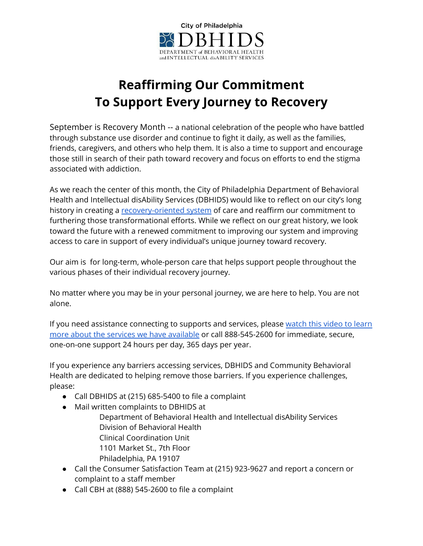

## **Reaffirming Our Commitment To Support Every Journey to Recovery**

September is Recovery Month -- a national celebration of the people who have battled through substance use disorder and continue to fight it daily, as well as the families, friends, caregivers, and others who help them. It is also a time to support and encourage those still in search of their path toward recovery and focus on efforts to end the stigma associated with addiction.

As we reach the center of this month, the City of Philadelphia Department of Behavioral Health and Intellectual disAbility Services (DBHIDS) would like to reflect on our city's long history in creating a [recovery-oriented](https://dbhids.org/recovery/) system of care and reaffirm our commitment to furthering those transformational efforts. While we reflect on our great history, we look toward the future with a renewed commitment to improving our system and improving access to care in support of every individual's unique journey toward recovery.

Our aim is for long-term, whole-person care that helps support people throughout the various phases of their individual recovery journey.

No matter where you may be in your personal journey, we are here to help. You are not alone.

If you need assistance connecting to supports and services, please [watch](https://cbhphilly.org/members/welcome-to-cbh/) this video to learn more about the services we have [available](https://cbhphilly.org/members/welcome-to-cbh/) or call 888-545-2600 for immediate, secure, one-on-one support 24 hours per day, 365 days per year.

If you experience any barriers accessing services, DBHIDS and Community Behavioral Health are dedicated to helping remove those barriers. If you experience challenges, please:

- Call DBHIDS at (215) 685-5400 to file a complaint
- Mail written complaints to DBHIDS at Department of Behavioral Health and Intellectual disAbility Services Division of Behavioral Health Clinical Coordination Unit 1101 Market St., 7th Floor Philadelphia, PA 19107
- Call the Consumer Satisfaction Team at (215) 923-9627 and report a concern or complaint to a staff member
- Call CBH at (888) 545-2600 to file a complaint